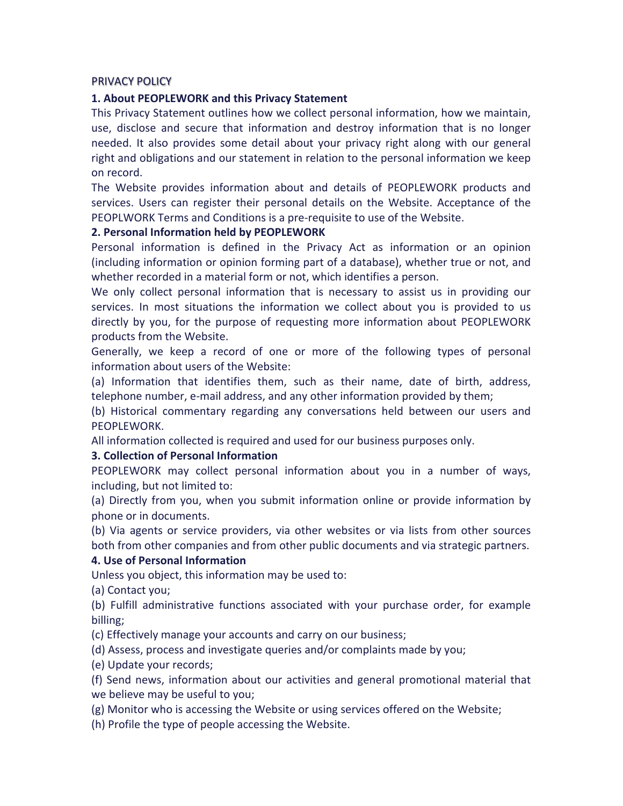# PRIVACY POLICY

### 1. About PEOPLEWORK and this Privacy Statement

This Privacy Statement outlines how we collect personal information, how we maintain, use, disclose and secure that information and destroy information that is no longer needed. It also provides some detail about your privacy right along with our general right and obligations and our statement in relation to the personal information we keep on record.

The Website provides information about and details of PEOPLEWORK products and services. Users can register their personal details on the Website. Acceptance of the PEOPLWORK Terms and Conditions is a pre-requisite to use of the Website.

# **2. Personal Information held by PEOPLEWORK**

Personal information is defined in the Privacy Act as information or an opinion (including information or opinion forming part of a database), whether true or not, and whether recorded in a material form or not, which identifies a person.

We only collect personal information that is necessary to assist us in providing our services. In most situations the information we collect about you is provided to us directly by you, for the purpose of requesting more information about PEOPLEWORK products from the Website.

Generally, we keep a record of one or more of the following types of personal information about users of the Website:

(a) Information that identifies them, such as their name, date of birth, address, telephone number, e-mail address, and any other information provided by them;

(b) Historical commentary regarding any conversations held between our users and PEOPLEWORK.

All information collected is required and used for our business purposes only.

### **3. Collection of Personal Information**

PEOPLEWORK may collect personal information about you in a number of ways, including, but not limited to:

(a) Directly from you, when you submit information online or provide information by phone or in documents.

(b) Via agents or service providers, via other websites or via lists from other sources both from other companies and from other public documents and via strategic partners.

### **4. Use of Personal Information**

Unless you object, this information may be used to:

(a) Contact you;

(b) Fulfill administrative functions associated with your purchase order, for example billing;

(c) Effectively manage your accounts and carry on our business;

(d) Assess, process and investigate queries and/or complaints made by you;

(e) Update your records;

(f) Send news, information about our activities and general promotional material that we believe may be useful to you;

(g) Monitor who is accessing the Website or using services offered on the Website;

(h) Profile the type of people accessing the Website.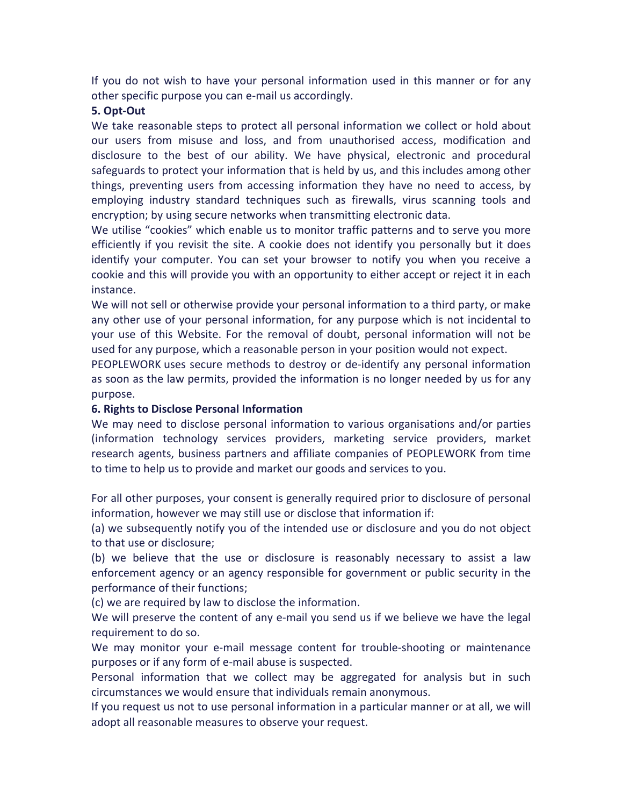If you do not wish to have your personal information used in this manner or for any other specific purpose you can e-mail us accordingly.

# **5. Opt-Out**

We take reasonable steps to protect all personal information we collect or hold about our users from misuse and loss, and from unauthorised access, modification and disclosure to the best of our ability. We have physical, electronic and procedural safeguards to protect your information that is held by us, and this includes among other things, preventing users from accessing information they have no need to access, by employing industry standard techniques such as firewalls, virus scanning tools and encryption; by using secure networks when transmitting electronic data.

We utilise "cookies" which enable us to monitor traffic patterns and to serve you more efficiently if you revisit the site. A cookie does not identify you personally but it does identify your computer. You can set your browser to notify you when you receive a cookie and this will provide you with an opportunity to either accept or reject it in each instance.

We will not sell or otherwise provide your personal information to a third party, or make any other use of your personal information, for any purpose which is not incidental to your use of this Website. For the removal of doubt, personal information will not be used for any purpose, which a reasonable person in your position would not expect.

PEOPLEWORK uses secure methods to destroy or de-identify any personal information as soon as the law permits, provided the information is no longer needed by us for any purpose.

# **6. Rights to Disclose Personal Information**

We may need to disclose personal information to various organisations and/or parties (information technology services providers, marketing service providers, market research agents, business partners and affiliate companies of PEOPLEWORK from time to time to help us to provide and market our goods and services to you.

For all other purposes, your consent is generally required prior to disclosure of personal information, however we may still use or disclose that information if:

(a) we subsequently notify you of the intended use or disclosure and you do not object to that use or disclosure;

(b) we believe that the use or disclosure is reasonably necessary to assist a law enforcement agency or an agency responsible for government or public security in the performance of their functions;

(c) we are required by law to disclose the information.

We will preserve the content of any e-mail you send us if we believe we have the legal requirement to do so.

We may monitor your e-mail message content for trouble-shooting or maintenance purposes or if any form of e-mail abuse is suspected.

Personal information that we collect may be aggregated for analysis but in such circumstances we would ensure that individuals remain anonymous.

If you request us not to use personal information in a particular manner or at all, we will adopt all reasonable measures to observe your request.